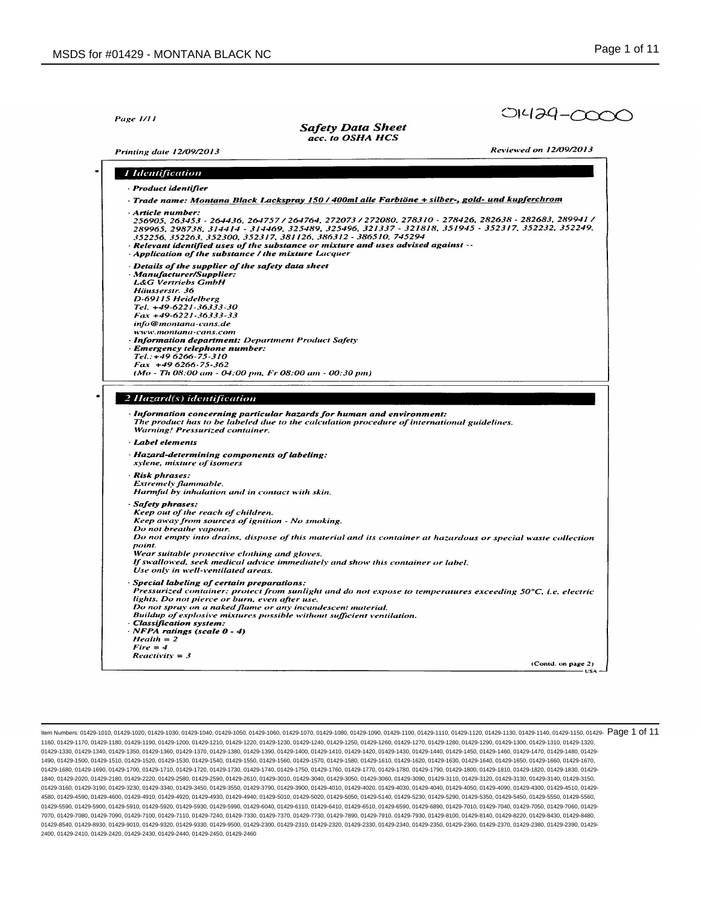|  | Page 1/11 |  |  |
|--|-----------|--|--|
|--|-----------|--|--|

**Safety Data Sheet** acc. to OSHA HCS

**Printing date 12/09/2013** 

Reviewed on 12/09/2013

01429-0000

| · Product identifier                                                  |                                                                                                                                                                                                                                                                                                                                                                                                                            |
|-----------------------------------------------------------------------|----------------------------------------------------------------------------------------------------------------------------------------------------------------------------------------------------------------------------------------------------------------------------------------------------------------------------------------------------------------------------------------------------------------------------|
|                                                                       |                                                                                                                                                                                                                                                                                                                                                                                                                            |
|                                                                       | · Trade name: Montana Black Lackspray 150 / 400ml alle Farbtöne + silber-, gold- und kupferchrom                                                                                                                                                                                                                                                                                                                           |
| Article number:                                                       | 256905, 263453 - 264436, 264757 / 264764, 272073 / 272080, 278310 - 278426, 282638 - 282683, 289941 /<br>289965, 298738, 314414 - 314469, 325489, 325496, 321337 - 321818, 351945 - 352317, 352232, 352249,<br>352256, 352263, 352300, 352317, 381126, 386312 - 386510, 745294<br>· Relevant identified uses of the substance or mixture and uses advised against --<br>Application of the substance / the mixture Lacquer |
| <b>L&amp;G Vertriebs GmbH</b><br>Häusserstr. 36<br>D-69115 Heidelberg | · Details of the supplier of the safety data sheet<br>· Manufacturer/Supplier:<br>Tel. +49-6221-36333-30<br>$Fax + 49.6221.36333.33$<br>info@montana-cans.de<br>www.montana-cans.com<br>· Information department: Department Product Safety                                                                                                                                                                                |
|                                                                       | · Emergency telephone number:                                                                                                                                                                                                                                                                                                                                                                                              |
|                                                                       | Tel.: +49 6266-75-310                                                                                                                                                                                                                                                                                                                                                                                                      |
|                                                                       | $Fax +496266.75.362$                                                                                                                                                                                                                                                                                                                                                                                                       |
|                                                                       | $(Mo - Th 08:00 am - 04:00 pm, Fr 08:00 am - 00:30 pm)$                                                                                                                                                                                                                                                                                                                                                                    |
|                                                                       | 2 Hazard(s) identification<br>· Information concerning particular hazards for human and environment:<br>The product has to be labeled due to the calculation procedure of international guidelines.                                                                                                                                                                                                                        |
|                                                                       | Warning! Pressurized container.                                                                                                                                                                                                                                                                                                                                                                                            |
|                                                                       |                                                                                                                                                                                                                                                                                                                                                                                                                            |
| · Label elements                                                      | Hazard-determining components of labeling:<br>xylene, mixture of isomers                                                                                                                                                                                                                                                                                                                                                   |
| · Risk phrases:<br><b>Extremely flammable.</b>                        | Harmful by inhalation and in contact with skin.                                                                                                                                                                                                                                                                                                                                                                            |
| Safety phrases:                                                       |                                                                                                                                                                                                                                                                                                                                                                                                                            |
|                                                                       | Keep out of the reach of children.                                                                                                                                                                                                                                                                                                                                                                                         |
|                                                                       | Keep away from sources of ignition - No smoking.                                                                                                                                                                                                                                                                                                                                                                           |
| point.                                                                | Do not breathe vapour.<br>Do not empty into drains, dispose of this material and its container at hazardous or special waste collection                                                                                                                                                                                                                                                                                    |
|                                                                       | Wear suitable protective clothing and gloves.                                                                                                                                                                                                                                                                                                                                                                              |
|                                                                       | If swallowed, seek medical advice immediately and show this container or label.<br>Use only in well-ventilated areas.                                                                                                                                                                                                                                                                                                      |
|                                                                       | Special labeling of certain preparations:                                                                                                                                                                                                                                                                                                                                                                                  |
|                                                                       | Pressurized container: protect from sunlight and do not expose to temperatures exceeding 50°C, i.e. electric                                                                                                                                                                                                                                                                                                               |
|                                                                       | lights. Do not pierce or burn, even after use.                                                                                                                                                                                                                                                                                                                                                                             |
|                                                                       | Do not spray on a naked flame or any incandescent material.<br>Buildup of explosive mixtures possible without sufficient ventilation.                                                                                                                                                                                                                                                                                      |
| Classification system:                                                |                                                                                                                                                                                                                                                                                                                                                                                                                            |
|                                                                       | NFPA ratings (scale 0 - 4)                                                                                                                                                                                                                                                                                                                                                                                                 |
| $Health = 2$                                                          |                                                                                                                                                                                                                                                                                                                                                                                                                            |
| $Fire = 4$<br>$Reactivity = 3$                                        |                                                                                                                                                                                                                                                                                                                                                                                                                            |

ltem Numbers: 01429-1010, 01429-1020, 01429-1030, 01429-1040, 01429-1050, 01429-1060, 01429-1080, 01429-1100, 01429-1110, 01429-1110, 01429-11140, 01429-1140, 01429-1150, 01429-1130, 01429-11160, 01429-11160, 01429-1130, 0 1160, 01429-1170, 01429-1180, 01429-1190, 01429-1200, 01429-1210, 01429-1220, 01429-1230, 01429-1240, 01429-1250, 01429-1260, 01429-1270, 01429-1280, 01429-1290, 01429-1300, 01429-1310, 01429-1320, 01429-1330, 01429-1340, 01429-1350, 01429-1360, 01429-1370, 01429-1380, 01429-1380, 01429-1400, 01429-1410, 01429-1420, 01429-1430, 01429-1440, 01429-1460, 01429-1460, 01429-1470, 01429-1480, 01429-1480, 01429-1480, 01429-1 1490, 01429-1500, 01429-1510, 01429-1520, 01429-1530, 01429-1540, 01429-1550, 01429-1560, 01429-1570, 01429-1580, 01429-1610, 01429-1620, 01429-1630, 01429-1640, 01429-1650, 01429-1660, 01429-1670, 01429-1680, 01429-1690, 01429-1700, 01429-1710, 01429-1720, 01429-1730, 01429-1740, 01429-1750, 01429-1760, 01429-1770, 01429-1780, 01429-1790, 01429-1800, 01429-1810, 01429-1820, 01429-1830, 01429- 1840, 01429-2020, 01429-2180, 01429-2220, 01429-2580, 01429-2590, 01429-2610, 01429-3010, 01429-3040, 01429-3050, 01429-3060, 01429-3090, 01429-3110, 01429-3120, 01429-3130, 01429-3140, 01429-3150, 01429-3160, 01429-3190, 01429-3230, 01429-3340, 01429-3450, 01429-3550, 01429-3790, 01429-4010, 01429-4010, 01429-4030, 01429-4040, 01429-4050, 01429-4050, 01429-4050, 01429-4090, 01429-4030, 01429-4550, 01429-4550, 01429-4 4580, 01429-4590, 01429-4600, 01429-4910, 01429-4920, 01429-4930, 01429-4940, 01429-5010, 01429-5020, 01429-5050, 01429-5140, 01429-5230, 01429-5290, 01429-5350, 01429-5450, 01429-5550, 01429-5560, 01429-5590, 01429-5900, 01429-5910, 01429-5920, 01429-5930, 01429-5990, 01429-6040, 01429-6110, 01429-6410, 01429-6510, 01429-6590, 01429-6890, 01429-7010, 01429-7040, 01429-7050, 01429-7060, 01429- 7070, 01429-7080, 01429-7090, 01429-7100, 01429-7110, 01429-7240, 01429-7330, 01429-7370, 01429-7730, 01429-7890, 01429-7910, 01429-7930, 01429-8100, 01429-8140, 01429-8220, 01429-8430, 01429-8480, 01429-8540, 01429-8930, 01429-9010, 01429-9320, 01429-9330, 01429-9500, 01429-2300, 01429-2320, 01429-2330, 01429-2340, 01429-2350, 01429-2360, 01429-2370, 01429-2360, 01429-2360, 01429-2360, 01429-2360, 01429-2360, 01429-2 2400, 01429-2410, 01429-2420, 01429-2430, 01429-2440, 01429-2450, 01429-2460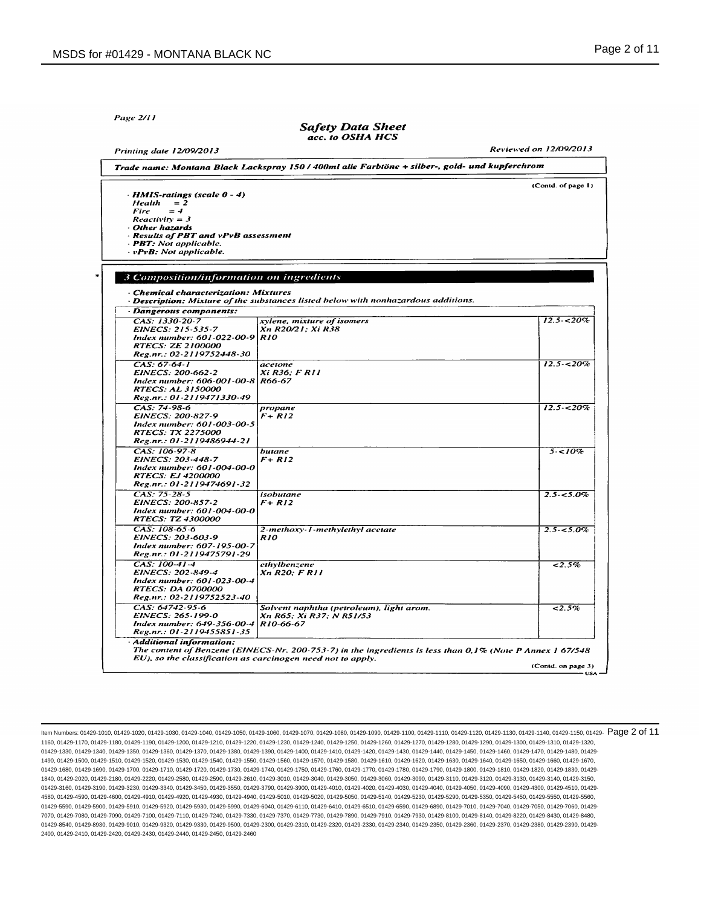Page 2/11

#### **Safety Data Sheet** acc. to OSHA HCS

**Reviewed on 12/09/2013 Printing date 12/09/2013** Trade name: Montana Black Lackspray 150 / 400ml alle Farbtöne + silber-, gold- und kupferchrom (Contd. of page 1) · HMIS-ratings (scale 0 - 4)  $Health = 2$  $=$   $\boldsymbol{d}$ Fire  $Reactivity = 3$ Other hazards **Results of PBT and vPvB assessment** · PBT: Not applicable.  $\cdot v$ PvB: Not applicable. 3 Composition/information on ingredients **Chemical characterization: Mixtures** Description: Mixture of the substances listed below with nonhazardous additions. Dangerous components: CAS: 1330-20-7  $12.5 - 20\%$ xylene, mixture of isomers EINECS: 215-535-7 Xn R20/21; Xi R38 Index number: 601-022-00-9 R10<br>RTECS: ZE 2100000 Reg.nr.: 02-2119752448-30  $CAS: 67.64.1$  $12.5 - 20\%$ acetone EINECS: 200-662-2 Xi R36; F R11 Index number: 606-001-00-8 R66-67 RTECS: AL 3150000<br>Reg.nr.: 01-2119471330-49 CAS: 74-98-6  $12.5 - 20\%$ propane EINECS: 200-827-9  $F + R12$ Envecs. 200-827-7<br>Index number: 601-003-00-5<br>RTECS: TX 2275000 Reg.nr.: 01-2119486944-21 CAS: 106-97-8 butane  $5 - 10%$ EINECS: 203-448-7  $F + R12$ Index number: 601-004-00-0<br>RTECS: EJ 4200000 Reg.nr.: 01-2119474691-32 CAS: 75-28-5 isobutane  $2.5 - 5.0\%$ EINECS: 200-857-2 F+ R12 Index number: 601-004-00-0 RTECS: TZ 4300000 CAS: 108-65-6 2-methoxy-1-methylethyl acetate  $2.5 - 5.0\%$ EINECS: 203-603-9 **R10** Index number: 607-195-00-7 Reg.nr.: 01-2119475791-29  $CAS: 100-41-4$ ethylbenzene  $\sqrt{2.5\%}$ EINECS: 202-849-4 Xn R20: F R11 Index number: 601-023-00-4 RTECS: DA 0700000 Reg.nr.: 02-2119752523-40 CAS: 64742-95-6  $2.5%$ Solvent naphtha (petroleum), light arom. EINECS: 265-199-0 Xn R65: Xi R37: N R51/53 Inveces. 205-177-0<br>Index number: 649-356-00-4<br>Reg.nr.: 01-2119455851-35 R10-66-67 **Additional information:** The content of Benzene (EINECS-Nr. 200-753-7) in the ingredients is less than 0,1% (Note P Annex 1 67/548 EU), so the classification as carcinogen need not to apply. (Contd. on page 3)

ltem Numbers: 01429-1010, 01429-1020, 01429-1030, 01429-1040, 01429-1050, 01429-1060, 01429-1080, 01429-1100, 01429-1110, 01429-1110, 01429-11140, 01429-1140, 01429-1150, 01429-1130, 01429-11160, 01429-1130, 01429-1130, 01 1160, 01429-1170, 01429-1180, 01429-1190, 01429-1200, 01429-1210, 01429-1220, 01429-1230, 01429-1240, 01429-1250, 01429-1260, 01429-1270, 01429-1280, 01429-1290, 01429-1300, 01429-1310, 01429-1320, 01429-1330, 01429-1340, 01429-1350, 01429-1360, 01429-1370, 01429-1380, 01429-1380, 01429-1400, 01429-1410, 01429-1420, 01429-1430, 01429-1440, 01429-1460, 01429-1460, 01429-1460, 01429-1480, 01429-1460, 01429-1460, 01429-1 1490, 01429-1500, 01429-1510, 01429-1520, 01429-1530, 01429-1540, 01429-1550, 01429-1560, 01429-1570, 01429-1580, 01429-1610, 01429-1620, 01429-1630, 01429-1640, 01429-1650, 01429-1660, 01429-1670, 01429-1680, 01429-1690, 01429-1700, 01429-1710, 01429-1720, 01429-1730, 01429-1740, 01429-1750, 01429-1760, 01429-1770, 01429-1780, 01429-1780, 01429-1790, 01429-1800, 01429-1810, 01429-1820, 01429-1830, 01429-1830, 01429-1 1840, 01429-2020, 01429-2180, 01429-2220, 01429-2580, 01429-2590, 01429-2610, 01429-3010, 01429-3040, 01429-3050, 01429-3060, 01429-3090, 01429-3110, 01429-3120, 01429-3130, 01429-3140, 01429-3150, 01429-3160, 01429-3190, 01429-3230, 01429-3340, 01429-3450, 01429-3550, 01429-3790, 01429-4010, 01429-4010, 01429-4020, 01429-4030, 01429-4040, 01429-4050, 01429-4090, 01429-4030, 01429-4020, 01429-4020, 01429-4050, 01429-4 4580, 01429-4590, 01429-4600, 01429-4910, 01429-4920, 01429-4930, 01429-4940, 01429-5010, 01429-5020, 01429-5050, 01429-5140, 01429-5230, 01429-5290, 01429-5350, 01429-5450, 01429-5550, 01429-5560, 01429-5590, 01429-5900, 01429-5910, 01429-5920, 01429-5930, 01429-5990, 01429-6040, 01429-6110, 01429-6410, 01429-6510, 01429-6590, 01429-6890, 01429-7010, 01429-7040, 01429-7050, 01429-7060, 01429- 7070, 01429-7080, 01429-7090, 01429-7100, 01429-7110, 01429-7240, 01429-7330, 01429-7370, 01429-7730, 01429-7890, 01429-7910, 01429-7930, 01429-8100, 01429-8140, 01429-8220, 01429-8430, 01429-8480, 01429-8540, 01429-8930, 01429-9010, 01429-9320, 01429-9330, 01429-9500, 01429-2300, 01429-2320, 01429-2330, 01429-2340, 01429-2350, 01429-2360, 01429-2360, 01429-2360, 01429-2360, 01429-2360, 01429-2360, 01429-2360, 01429-2 2400, 01429-2410, 01429-2420, 01429-2430, 01429-2440, 01429-2450, 01429-2460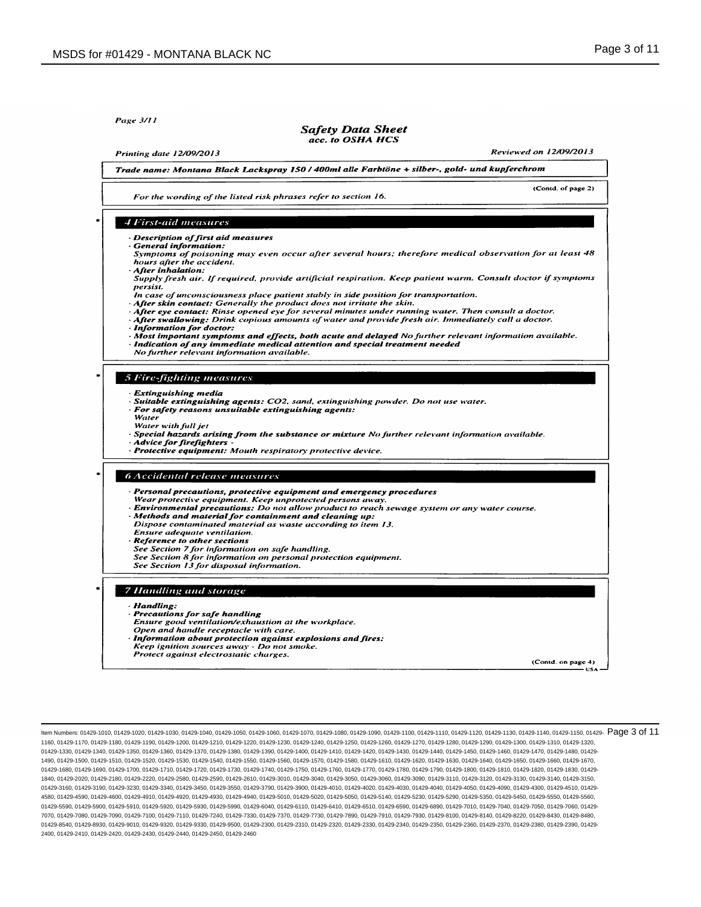Page 3/11

#### **Safety Data Sheet** acc. to OSHA HCS

**Printing date 12/09/2013** 

Reviewed on 12/09/2013

(Contd. of page 2)

Trade name: Montana Black Lackspray 150 / 400ml alle Farbtöne + silber-, gold- und kupferchrom

For the wording of the listed risk phrases refer to section 16.

# 4 First-aid measures

Description of first aid measures

**General information:** Symptoms of poisoning may even occur after several hours; therefore medical observation for at least 48 hours after the accident.

# After inhalation:

- Supply fresh air. If required, provide artificial respiration. Keep patient warm. Consult doctor if symptoms persist.
- In case of unconsciousness place patient stably in side position for transportation. After skin contact: Generally the product does not irritate the skin.
- After eye contact: Rinse opened eye for several minutes under running water. Then consult a doctor.
- After swallowing: Drink copious amounts of water and provide fresh air. Immediately call a doctor.
- **Information for doctor:**
- Most important symptoms and effects, both acute and delayed No further relevant information available. Indication of any immediate medical attention and special treatment needed
- No further relevant information available.

# 5 Fire-fighting measures

- **Extinguishing media**
- Suitable extinguishing agents: CO2, sand, extinguishing powder. Do not use water.
- For safety reasons unsuitable extinguishing agents: Water
- Water with full jet
- Special hazards arising from the substance or mixture No further relevant information available.
- **Advice for firefighters**
- · Protective equipment: Mouth respiratory protective device.

# **6 Accidental release measures**

- Personal precautions, protective equipment and emergency procedures<br>Wear protective equipment. Keep unprotected persons away.
- Environmental precautions: Do not allow product to reach sewage system or any water course.
- 
- Methods and material for containment and cleaning up:<br>Dispose contaminated material as waste according to item 13.
- Ensure adequate ventilation.
- 
- **Expression contracts the Sections**<br> **Reference to other sections**<br>
See Section 7 for information on safe handling.
- see Section 8 for information on personal protection equipment. See Section 13 for disposal information.

# **7 Handling and storage**

#### Handling:

- Precautions for safe handling
- Ensure good ventilation/exhaustion at the workplace.
- Open and handle receptacle with care.
- Information about protection against explosions and fires: Keep ignition sources away - Do not smoke.
- Protect against electrostatic charges.

(Contd. on page 4) **USA** 

ltem Numbers: 01429-1010, 01429-1020, 01429-1030, 01429-1040, 01429-1050, 01429-1060, 01429-1080, 01429-1100, 01429-1110, 01429-1110, 01429-1110, 01429-1140, 01429-1140, 01429-1150, 01429-11160, 01429-1116, 01429-1130, 014 1160, 01429-1170, 01429-1180, 01429-1190, 01429-1200, 01429-1210, 01429-1220, 01429-1230, 01429-1240, 01429-1250, 01429-1260, 01429-1270, 01429-1280, 01429-1290, 01429-1300, 01429-1310, 01429-1320, 01429-1330, 01429-1340, 01429-1350, 01429-1360, 01429-1370, 01429-1380, 01429-1380, 01429-1400, 01429-1410, 01429-1420, 01429-1430, 01429-1440, 01429-1460, 01429-1460, 01429-1460, 01429-1480, 01429-1460, 01429-1460, 01429-1 1490, 01429-1500, 01429-1510, 01429-1520, 01429-1530, 01429-1540, 01429-1550, 01429-1560, 01429-1570, 01429-1580, 01429-1610, 01429-1620, 01429-1630, 01429-1640, 01429-1650, 01429-1660, 01429-1670, 01429-1680, 01429-1690, 01429-1700, 01429-1710, 01429-1720, 01429-1730, 01429-1740, 01429-1750, 01429-1760, 01429-1770, 01429-1780, 01429-1780, 01429-1790, 01429-1800, 01429-1810, 01429-1820, 01429-1830, 01429-1830, 01429-1 1840, 01429-2020, 01429-2180, 01429-2220, 01429-2580, 01429-2590, 01429-2610, 01429-3010, 01429-3040, 01429-3050, 01429-3060, 01429-3090, 01429-3110, 01429-3120, 01429-3130, 01429-3140, 01429-3150, 01429-3160, 01429-3190, 01429-3230, 01429-3340, 01429-3450, 01429-3550, 01429-3790, 01429-4010, 01429-4010, 01429-4020, 01429-4030, 01429-4040, 01429-4050, 01429-4090, 01429-4030, 01429-4020, 01429-4020, 01429-4050, 01429-4 4580, 01429-4590, 01429-4600, 01429-4910, 01429-4920, 01429-4930, 01429-4940, 01429-5010, 01429-5020, 01429-5050, 01429-5140, 01429-5230, 01429-5290, 01429-5350, 01429-5450, 01429-5550, 01429-5560, 01429-5590, 01429-5900, 01429-5910, 01429-5920, 01429-5930, 01429-5990, 01429-6040, 01429-6110, 01429-6410, 01429-6510, 01429-6590, 01429-6890, 01429-7010, 01429-7040, 01429-7050, 01429-7060, 01429- 7070, 01429-7080, 01429-7090, 01429-7100, 01429-7110, 01429-7240, 01429-7330, 01429-7370, 01429-7730, 01429-7890, 01429-7910, 01429-7930, 01429-8100, 01429-8140, 01429-8220, 01429-8430, 01429-8480, 01429-8540, 01429-8930, 01429-9010, 01429-9320, 01429-9330, 01429-9500, 01429-2300, 01429-2310, 01429-2320, 01429-2330, 01429-2350, 01429-2360, 01429-2370, 01429-2360, 01429-2360, 01429-2370, 01429-2360, 01429-2360, 01429-2 2400, 01429-2410, 01429-2420, 01429-2430, 01429-2440, 01429-2450, 01429-2460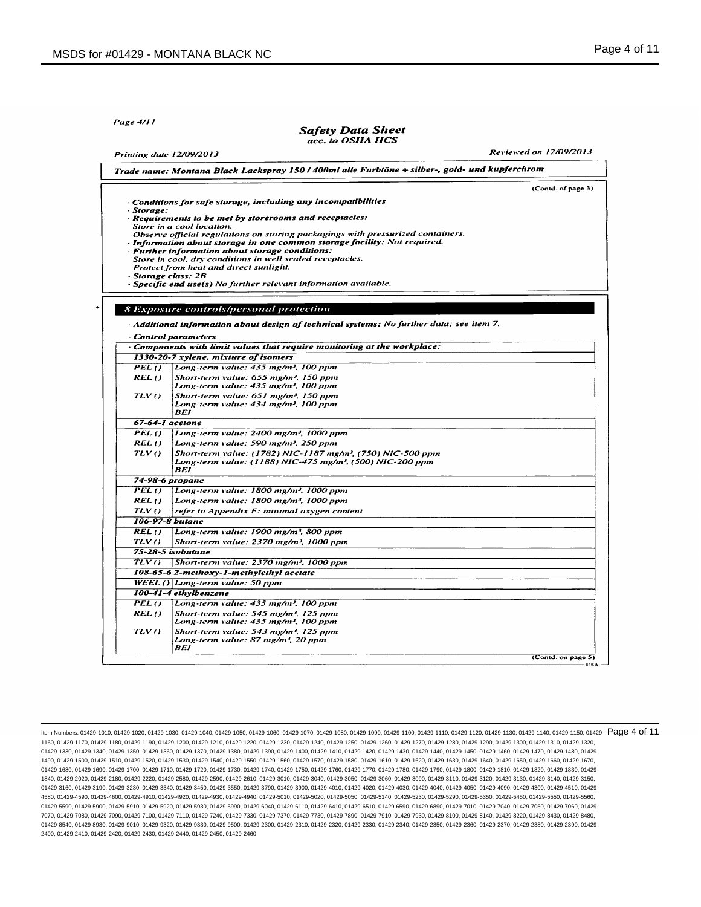Printing date 12/09/2013

Page 4/11

#### **Safety Data Sheet** acc. to OSHA HCS

**Reviewed on 12/09/2013** 

|            |                                                                                                                                                  | (Contd. of page 3) |
|------------|--------------------------------------------------------------------------------------------------------------------------------------------------|--------------------|
| · Storage: | - Conditions for safe storage, including any incompatibilities                                                                                   |                    |
|            | · Requirements to be met by storerooms and receptacles:                                                                                          |                    |
|            | Store in a cool location.                                                                                                                        |                    |
|            | Observe official regulations on storing packagings with pressurized containers.                                                                  |                    |
|            | · Information about storage in one common storage facility: Not required.<br>· Further information about storage conditions:                     |                    |
|            | Store in cool, dry conditions in well sealed receptacles.                                                                                        |                    |
|            | Protect from heat and direct sunlight.                                                                                                           |                    |
|            | Storage class: 2B<br>- Specific end use(s) No further relevant information available.                                                            |                    |
|            |                                                                                                                                                  |                    |
|            | <b>8 Exposure controls/personal protection</b>                                                                                                   |                    |
|            | - Additional information about design of technical systems: No further data; see item 7.                                                         |                    |
|            | Control parameters                                                                                                                               |                    |
|            | $\cdot$ Components with limit values that require monitoring at the workplace:                                                                   |                    |
|            | 1330-20-7 xylene, mixture of isomers                                                                                                             |                    |
| PEL()      | Long-term value: 435 mg/m <sup>3</sup> , 100 ppm                                                                                                 |                    |
| REL()      | Short-term value: 655 mg/m <sup>3</sup> , 150 ppm                                                                                                |                    |
|            | Long-term value: 435 mg/m <sup>3</sup> , 100 ppm                                                                                                 |                    |
| TLVO       | Short-term value: 651 mg/m <sup>3</sup> , 150 ppm                                                                                                |                    |
|            | Long-term value: 434 mg/m <sup>3</sup> , 100 ppm<br>BEI                                                                                          |                    |
|            | 67-64-1 acetone                                                                                                                                  |                    |
| PEL()      | Long-term value: 2400 mg/m <sup>3</sup> , 1000 ppm                                                                                               |                    |
| REL ()     | Long-term value: 590 mg/m <sup>3</sup> , 250 ppm                                                                                                 |                    |
| TLV()      | Short-term value: (1782) NIC-1187 mg/m <sup>3</sup> , (750) NIC-500 ppm<br>Long-term value: (1188) NIC-475 mg/m <sup>3</sup> , (500) NIC-200 ppm |                    |
|            | <b>BEI</b>                                                                                                                                       |                    |
|            | 74-98-6 propane                                                                                                                                  |                    |
| $PELO$     | Long-term value: 1800 mg/m <sup>3</sup> , 1000 ppm                                                                                               |                    |
| REL()      | Long-term value: 1800 mg/m <sup>3</sup> , 1000 ppm                                                                                               |                    |
| TLV()      | refer to Appendix F: minimal oxygen content                                                                                                      |                    |
|            | 106-97-8 butane                                                                                                                                  |                    |
| REL ()     | Long-term value: 1900 mg/m <sup>3</sup> , 800 ppm                                                                                                |                    |
| TLV()      | Short-term value: 2370 mg/m <sup>3</sup> , 1000 ppm                                                                                              |                    |
|            | 75-28-5 isobutane                                                                                                                                |                    |
| TUVO       | Short-term value: 2370 mg/m <sup>3</sup> , 1000 ppm                                                                                              |                    |
|            | 108-65-6 2-methoxy-1-methylethyl acetate                                                                                                         |                    |
|            | $WELL()$ Long-term value: 50 ppm                                                                                                                 |                    |
|            | 100-41-4 ethylbenzene                                                                                                                            |                    |
| PELO       | Long-term value: $435$ mg/m <sup>3</sup> , 100 ppm                                                                                               |                    |
| REL()      | Short-term value: 545 mg/m <sup>3</sup> , 125 ppm                                                                                                |                    |
|            | Long-term value: 435 mg/m <sup>3</sup> , 100 ppm                                                                                                 |                    |
|            |                                                                                                                                                  |                    |
| TLV()      | Short-term value: 543 mg/m <sup>3</sup> , 125 ppm<br>Long-term value: 87 mg/m <sup>3</sup> , 20 ppm                                              |                    |

ltem Numbers: 01429-1010, 01429-1020, 01429-1030, 01429-1040, 01429-1050, 01429-1060, 01429-1080, 01429-1100, 01429-1110, 01429-1110, 01429-11140, 01429-1140, 01429-1150, 01429-1130, 01429-11160, 01429-11160, 01429-1130, 0 1160, 01429-1170, 01429-1180, 01429-1190, 01429-1200, 01429-1210, 01429-1220, 01429-1230, 01429-1240, 01429-1250, 01429-1260, 01429-1270, 01429-1280, 01429-1290, 01429-1300, 01429-1310, 01429-1320, 01429-1330, 01429-1340, 01429-1350, 01429-1360, 01429-1370, 01429-1380, 01429-1380, 01429-1400, 01429-1410, 01429-1420, 01429-1430, 01429-1440, 01429-1460, 01429-1460, 01429-1470, 01429-1480, 01429-1480, 01429-1480, 01429-1 1490, 01429-1500, 01429-1510, 01429-1520, 01429-1530, 01429-1540, 01429-1550, 01429-1560, 01429-1570, 01429-1580, 01429-1610, 01429-1620, 01429-1630, 01429-1640, 01429-1650, 01429-1660, 01429-1670, 01429-1680, 01429-1690, 01429-1700, 01429-1710, 01429-1720, 01429-1730, 01429-1740, 01429-1750, 01429-1760, 01429-1770, 01429-1780, 01429-1790, 01429-1800, 01429-1810, 01429-1820, 01429-1830, 01429- 1840, 01429-2020, 01429-2180, 01429-2220, 01429-2580, 01429-2590, 01429-2610, 01429-3010, 01429-3040, 01429-3050, 01429-3060, 01429-3090, 01429-3110, 01429-3120, 01429-3130, 01429-3140, 01429-3150, 01429-3160, 01429-3190, 01429-3230, 01429-3340, 01429-3450, 01429-3550, 01429-3790, 01429-4000, 01429-4010, 01429-4030, 01429-4040, 01429-4050, 01429-4050, 01429-4090, 01429-4030, 01429-4030, 01429-4050, 01429-4510, 01429-4 4580, 01429-4590, 01429-4600, 01429-4910, 01429-4920, 01429-4930, 01429-4940, 01429-5010, 01429-5020, 01429-5050, 01429-5140, 01429-5230, 01429-5290, 01429-5350, 01429-5450, 01429-5550, 01429-5560, 01429-5590, 01429-5900, 01429-5910, 01429-5920, 01429-5930, 01429-5990, 01429-6040, 01429-6110, 01429-6410, 01429-6510, 01429-6590, 01429-6890, 01429-7010, 01429-7040, 01429-7050, 01429-7060, 01429- 7070, 01429-7080, 01429-7090, 01429-7100, 01429-7110, 01429-7240, 01429-7330, 01429-7370, 01429-7730, 01429-7890, 01429-7910, 01429-7930, 01429-8100, 01429-8140, 01429-8220, 01429-8430, 01429-8480, 01429-8540, 01429-8930, 01429-9010, 01429-9320, 01429-9330, 01429-9500, 01429-2300, 01429-2320, 01429-2330, 01429-2340, 01429-2350, 01429-2360, 01429-2370, 01429-2360, 01429-2360, 01429-2360, 01429-2360, 01429-2360, 01429-2 2400, 01429-2410, 01429-2420, 01429-2430, 01429-2440, 01429-2450, 01429-2460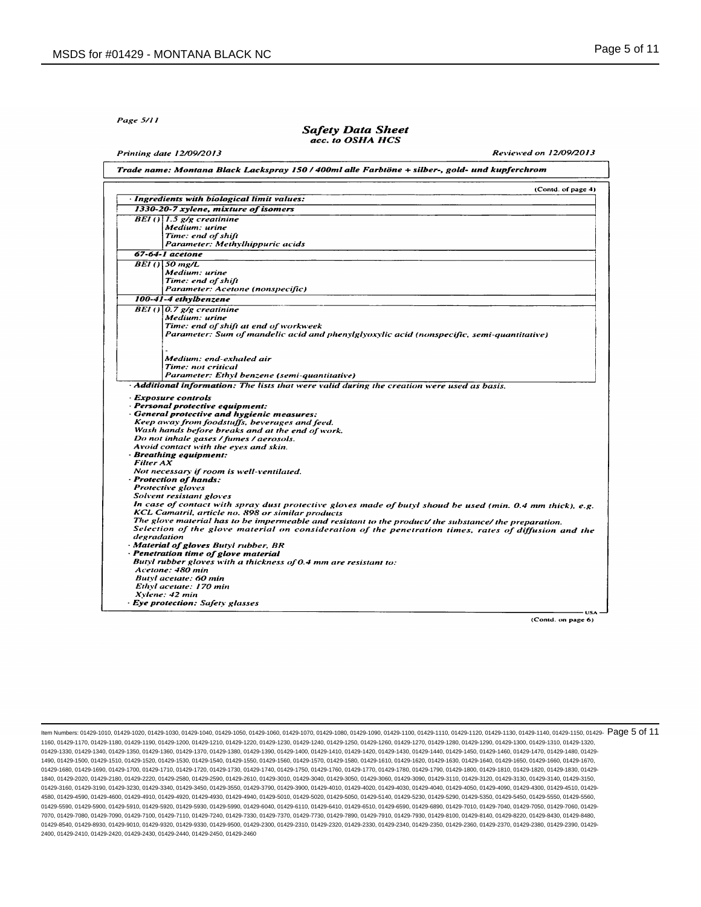Page 5/11

### **Safety Data Sheet** acc. to OSHA HCS

Printing date 12/09/2013

**Reviewed on 12/09/2013** 

|                  | (Contd. of page 4)                                                                                                                                                                                                                                                                                                                                                                                                                                                                                                                                                                                                    |
|------------------|-----------------------------------------------------------------------------------------------------------------------------------------------------------------------------------------------------------------------------------------------------------------------------------------------------------------------------------------------------------------------------------------------------------------------------------------------------------------------------------------------------------------------------------------------------------------------------------------------------------------------|
|                  | · Ingredients with biological limit values:                                                                                                                                                                                                                                                                                                                                                                                                                                                                                                                                                                           |
|                  | 1330-20-7 xylene, mixture of isomers                                                                                                                                                                                                                                                                                                                                                                                                                                                                                                                                                                                  |
|                  | BEI() $1.5$ g/g creatinine                                                                                                                                                                                                                                                                                                                                                                                                                                                                                                                                                                                            |
|                  | Medium: urine                                                                                                                                                                                                                                                                                                                                                                                                                                                                                                                                                                                                         |
|                  | Time: end of shift                                                                                                                                                                                                                                                                                                                                                                                                                                                                                                                                                                                                    |
|                  | Parameter: Methylhippuric acids                                                                                                                                                                                                                                                                                                                                                                                                                                                                                                                                                                                       |
|                  | 67-64-1 acetone                                                                                                                                                                                                                                                                                                                                                                                                                                                                                                                                                                                                       |
|                  | $BEI$ () $50$ mg/L                                                                                                                                                                                                                                                                                                                                                                                                                                                                                                                                                                                                    |
|                  | Medium: urine                                                                                                                                                                                                                                                                                                                                                                                                                                                                                                                                                                                                         |
|                  | Time: end of shift                                                                                                                                                                                                                                                                                                                                                                                                                                                                                                                                                                                                    |
|                  | Parameter: Acetone (nonspecific)                                                                                                                                                                                                                                                                                                                                                                                                                                                                                                                                                                                      |
|                  | 100-41-4 ethylbenzene                                                                                                                                                                                                                                                                                                                                                                                                                                                                                                                                                                                                 |
|                  | BEI() $0.7$ g/g creatinine                                                                                                                                                                                                                                                                                                                                                                                                                                                                                                                                                                                            |
|                  | Medium: urine                                                                                                                                                                                                                                                                                                                                                                                                                                                                                                                                                                                                         |
|                  | Time: end of shift at end of workweek                                                                                                                                                                                                                                                                                                                                                                                                                                                                                                                                                                                 |
|                  | Parameter: Sum of mandelic acid and phenylglyoxylic acid (nonspecific, semi-quantitative)                                                                                                                                                                                                                                                                                                                                                                                                                                                                                                                             |
|                  |                                                                                                                                                                                                                                                                                                                                                                                                                                                                                                                                                                                                                       |
|                  |                                                                                                                                                                                                                                                                                                                                                                                                                                                                                                                                                                                                                       |
|                  | Medium: end-exhaled air                                                                                                                                                                                                                                                                                                                                                                                                                                                                                                                                                                                               |
|                  | Time: not critical                                                                                                                                                                                                                                                                                                                                                                                                                                                                                                                                                                                                    |
|                  | Parameter: Ethyl benzene (semi-quantitative)<br>· Additional information: The lists that were valid during the creation were used as basis.                                                                                                                                                                                                                                                                                                                                                                                                                                                                           |
| <b>Filter AX</b> | Keep away from foodstuffs, beverages and feed.<br>Wash hands before breaks and at the end of work.<br>Do not inhale gases / fumes / aerosols.<br>Avoid contact with the eyes and skin.<br>· Breathing equipment:<br>Not necessary if room is well-ventilated.<br>· Protection of hands:<br>Protective gloves<br>Solvent resistant gloves<br>In case of contact with spray dust protective gloves made of butyl shoud be used (min. 0.4 mm thick), e.g.<br>KCL Camatril, article no. 898 or similar products<br>The glove material has to be impermeable and resistant to the product/ the substance/ the preparation. |
| degradation      | Selection of the glove material on consideration of the penetration times, rates of diffusion and the<br>· Material of gloves Butyl rubber, BR                                                                                                                                                                                                                                                                                                                                                                                                                                                                        |
|                  | · Penetration time of glove material                                                                                                                                                                                                                                                                                                                                                                                                                                                                                                                                                                                  |
|                  | Butyl rubber gloves with a thickness of 0.4 mm are resistant to:                                                                                                                                                                                                                                                                                                                                                                                                                                                                                                                                                      |
|                  | Acetone: 480 min                                                                                                                                                                                                                                                                                                                                                                                                                                                                                                                                                                                                      |
|                  | Butyl acetate: 60 min                                                                                                                                                                                                                                                                                                                                                                                                                                                                                                                                                                                                 |
|                  | Ethyl acetate: 170 min                                                                                                                                                                                                                                                                                                                                                                                                                                                                                                                                                                                                |
|                  | Xylene: 42 min                                                                                                                                                                                                                                                                                                                                                                                                                                                                                                                                                                                                        |
|                  | · Eye protection: Safety glasses                                                                                                                                                                                                                                                                                                                                                                                                                                                                                                                                                                                      |

ltem Numbers: 01429-1010, 01429-1020, 01429-1030, 01429-1040, 01429-1050, 01429-1060, 01429-1080, 01429-1100, 01429-1110, 01429-1110, 01429-1110, 01429-1140, 01429-1140, 01429-1150, 01429-1116, 01429-1116, 01429-1130, 0142 1160, 01429-1170, 01429-1180, 01429-1190, 01429-1200, 01429-1210, 01429-1220, 01429-1230, 01429-1240, 01429-1250, 01429-1260, 01429-1270, 01429-1280, 01429-1290, 01429-1300, 01429-1310, 01429-1320, 01429-1330, 01429-1340, 01429-1350, 01429-1360, 01429-1370, 01429-1380, 01429-1390, 01429-1400, 01429-1410, 01429-1420, 01429-1430, 01429-1440, 01429-1450, 01429-1460, 01429-1470, 01429-1480, 01429- 1490, 01429-1500, 01429-1510, 01429-1520, 01429-1530, 01429-1540, 01429-1550, 01429-1560, 01429-1570, 01429-1580, 01429-1610, 01429-1620, 01429-1630, 01429-1640, 01429-1650, 01429-1660, 01429-1670, 01429-1680, 01429-1690, 01429-1700, 01429-1710, 01429-1720, 01429-1730, 01429-1740, 01429-1750, 01429-1760, 01429-1770, 01429-1780, 01429-1790, 01429-1800, 01429-1810, 01429-1820, 01429-1830, 01429- 1840, 01429-2020, 01429-2180, 01429-2220, 01429-2580, 01429-2590, 01429-2610, 01429-3010, 01429-3040, 01429-3050, 01429-3060, 01429-3090, 01429-3110, 01429-3120, 01429-3130, 01429-3140, 01429-3150, 01429-3160, 01429-3190, 01429-3230, 01429-3340, 01429-3450, 01429-3550, 01429-3790, 01429-4000, 01429-4010, 01429-4030, 01429-4040, 01429-4050, 01429-4050, 01429-4090, 01429-4030, 01429-4030, 01429-4050, 01429-4510, 01429-4 4580, 01429-4590, 01429-4600, 01429-4910, 01429-4920, 01429-4930, 01429-4940, 01429-5010, 01429-5020, 01429-5050, 01429-5140, 01429-5230, 01429-5290, 01429-5350, 01429-5450, 01429-5550, 01429-5560, 01429-5590, 01429-5900, 01429-5910, 01429-5920, 01429-5930, 01429-5990, 01429-6040, 01429-6110, 01429-6410, 01429-6510, 01429-6590, 01429-6890, 01429-7010, 01429-7040, 01429-7050, 01429-7060, 01429- 7070, 01429-7080, 01429-7090, 01429-7100, 01429-7110, 01429-7240, 01429-7330, 01429-7370, 01429-7730, 01429-7890, 01429-7910, 01429-7930, 01429-8100, 01429-8140, 01429-8220, 01429-8430, 01429-8480, 01429-8540, 01429-8930, 01429-9010, 01429-9320, 01429-9330, 01429-9500, 01429-2300, 01429-2320, 01429-2330, 01429-2340, 01429-2350, 01429-2360, 01429-2370, 01429-2360, 01429-2360, 01429-2370, 01429-2370, 01429-2370, 01429-2 2400, 01429-2410, 01429-2420, 01429-2430, 01429-2440, 01429-2450, 01429-2460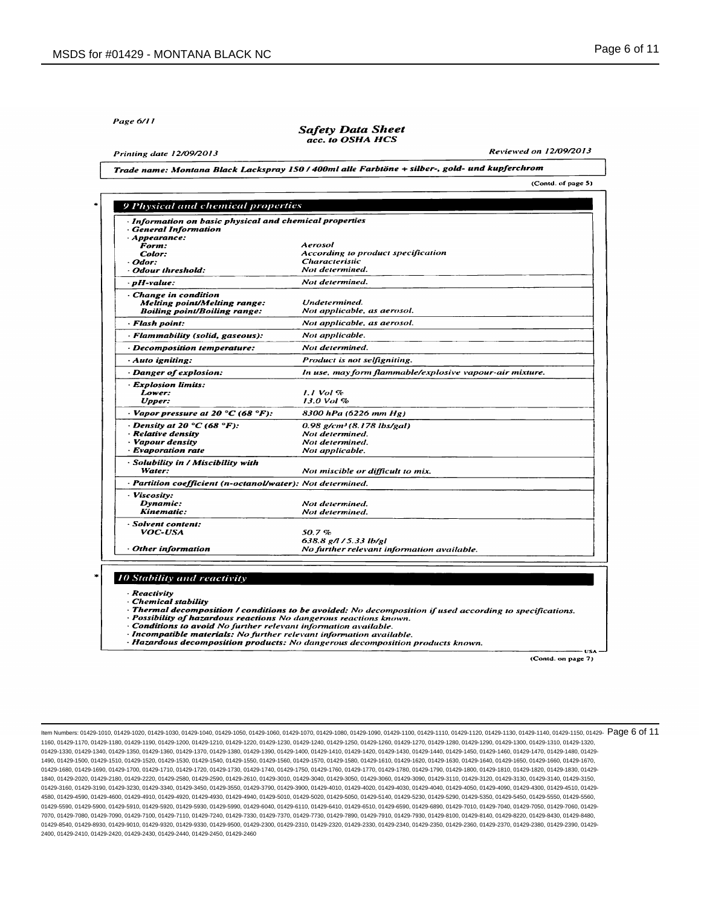Page 6/11

#### **Safety Data Sheet** acc. to OSHA HCS

**Printing date 12/09/2013** 

Reviewed on 12/09/2013

(Contd. of page 5)

Trade name: Montana Black Lackspray 150 / 400ml alle Farbtöne + silber-, gold- und kupferchrom

| · Information on basic physical and chemical properties<br><b>General Information</b> |                                                          |
|---------------------------------------------------------------------------------------|----------------------------------------------------------|
| Appearance:                                                                           |                                                          |
| Form:                                                                                 | Aerosol                                                  |
| Color:                                                                                | According to product specification                       |
| · Odor:                                                                               | <b>Characteristic</b>                                    |
| · Odour threshold:                                                                    | Not determined.                                          |
| · pH-value:                                                                           | Not determined.                                          |
| Change in condition                                                                   |                                                          |
| <b>Melting point/Melting range:</b>                                                   | Undetermined.                                            |
| <b>Boiling point/Boiling range:</b>                                                   | Not applicable, as aerosol.                              |
| · Flash point:                                                                        | Not applicable, as aerosol.                              |
| - Flammability (solid, gaseous):                                                      | Not applicable.                                          |
| · Decomposition temperature:                                                          | Not determined.                                          |
| - Auto igniting:                                                                      | Product is not selfigniting.                             |
| Danger of explosion:                                                                  | In use, may form flammable/explosive vapour-air mixture. |
| <b>Explosion limits:</b>                                                              |                                                          |
| Lower:                                                                                | $1.1$ Vol $%$                                            |
| Upper:                                                                                | 13.0 Vol %                                               |
| $\cdot$ Vapor pressure at 20 °C (68 °F):                                              | 8300 hPa (6226 mm Hg)                                    |
| Density at 20 $\degree$ C (68 $\degree$ F):                                           | $0.98$ g/cm <sup>3</sup> (8.178 lbs/gal)                 |
| · Relative density                                                                    | Not determined.                                          |
| · Vapour density                                                                      | Not determined.                                          |
| · Evaporation rate                                                                    | Not applicable.                                          |
| - Solubility in / Miscibility with                                                    |                                                          |
| Water:                                                                                | Not miscible or difficult to mix.                        |
| · Partition coefficient (n-octanol/water): Not determined.                            |                                                          |
| · Viscosuy:<br>Dynamic:                                                               |                                                          |
| Kinematic:                                                                            | Not determined.<br>Not determined.                       |
| · Solvent content:                                                                    |                                                          |
| VOC-USA                                                                               | 50.7%                                                    |
|                                                                                       | 638.8 g/l / 5.33 lb/gl                                   |
| · Other information                                                                   | No further relevant information available.               |
|                                                                                       |                                                          |
|                                                                                       |                                                          |
| <b>10 Stability and reactivity</b>                                                    |                                                          |
| · Reactivity                                                                          |                                                          |
| Chemical stability                                                                    |                                                          |

· Incompatible materials: No further relevant information available.

· Hazardous decomposition products: No dangerous decomposition products known.

(Contd. on page 7)

**USA** 

ltem Numbers: 01429-1010, 01429-1020, 01429-1030, 01429-1040, 01429-1050, 01429-1060, 01429-1080, 01429-1100, 01429-1110, 01429-1110, 01429-1110, 01429-1140, 01429-1140, 01429-1150, 01429-1116, 01429-1116, 01429-1130, 0142 1160, 01429-1170, 01429-1180, 01429-1190, 01429-1200, 01429-1210, 01429-1220, 01429-1230, 01429-1240, 01429-1250, 01429-1260, 01429-1270, 01429-1280, 01429-1290, 01429-1300, 01429-1310, 01429-1320, 01429-1330, 01429-1340, 01429-1350, 01429-1360, 01429-1370, 01429-1380, 01429-1380, 01429-1400, 01429-1410, 01429-1420, 01429-1430, 01429-1440, 01429-1460, 01429-1460, 01429-1460, 01429-1480, 01429-1460, 01429-1460, 01429-1 1490, 01429-1500, 01429-1510, 01429-1520, 01429-1530, 01429-1540, 01429-1550, 01429-1560, 01429-1570, 01429-1580, 01429-1610, 01429-1620, 01429-1630, 01429-1640, 01429-1650, 01429-1660, 01429-1670, 01429-1680, 01429-1690, 01429-1700, 01429-1710, 01429-1720, 01429-1730, 01429-1740, 01429-1750, 01429-1760, 01429-1770, 01429-1780, 01429-1790, 01429-1800, 01429-1810, 01429-1820, 01429-1830, 01429- 1840, 01429-2020, 01429-2180, 01429-2220, 01429-2580, 01429-2590, 01429-2610, 01429-3010, 01429-3040, 01429-3050, 01429-3060, 01429-3090, 01429-3110, 01429-3120, 01429-3130, 01429-3140, 01429-3150, 01429-3160, 01429-3190, 01429-3230, 01429-3340, 01429-3450, 01429-3550, 01429-3790, 01429-4000, 01429-4010, 01429-4030, 01429-4040, 01429-4050, 01429-4050, 01429-4090, 01429-4030, 01429-4030, 01429-4050, 01429-4510, 01429-4 4580, 01429-4590, 01429-4600, 01429-4910, 01429-4920, 01429-4930, 01429-4940, 01429-5010, 01429-5020, 01429-5050, 01429-5140, 01429-5230, 01429-5290, 01429-5350, 01429-5450, 01429-5550, 01429-5560, 01429-5590, 01429-5900, 01429-5910, 01429-5920, 01429-5930, 01429-5990, 01429-6040, 01429-6110, 01429-6410, 01429-6510, 01429-6590, 01429-6890, 01429-7010, 01429-7040, 01429-7050, 01429-7060, 01429- 7070, 01429-7080, 01429-7090, 01429-7100, 01429-7110, 01429-7240, 01429-7330, 01429-7370, 01429-7730, 01429-7890, 01429-7910, 01429-7930, 01429-8100, 01429-8140, 01429-8220, 01429-8430, 01429-8480, 01429-8540, 01429-8930, 01429-9010, 01429-9320, 01429-9330, 01429-9500, 01429-2300, 01429-2320, 01429-2330, 01429-2340, 01429-2350, 01429-2360, 01429-2370, 01429-2360, 01429-2360, 01429-2360, 01429-2360, 01429-2360, 01429-2 2400, 01429-2410, 01429-2420, 01429-2430, 01429-2440, 01429-2450, 01429-2460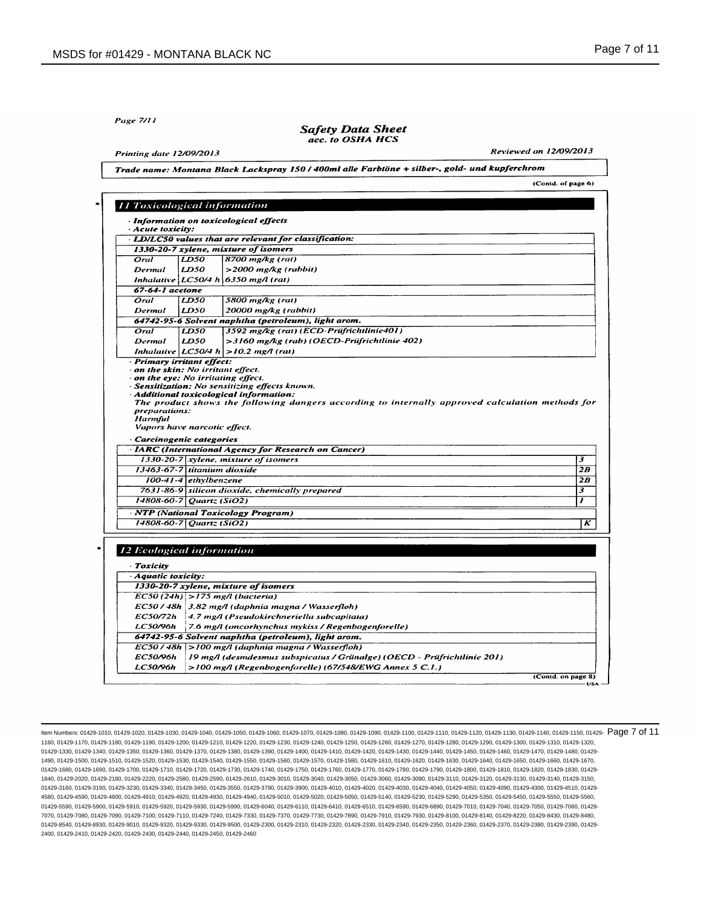Page 7/11

# **Safety Data Sheet** acc. to OSHA HCS

**Printing date 12/09/2013** 

Reviewed on 12/09/2013

(Contd. of page 6)

Trade name: Montana Black Lackspray 150 / 400ml alle Farbtöne + silber-, gold- und kupferchrom

|                                           |                       | · Information on toxicological effects                                                                                             |  |
|-------------------------------------------|-----------------------|------------------------------------------------------------------------------------------------------------------------------------|--|
| · Acute toxicity:                         |                       |                                                                                                                                    |  |
|                                           |                       | · LD/LC50 values that are relevant for classification:                                                                             |  |
|                                           |                       | 1330-20-7 xylene, mixture of isomers                                                                                               |  |
| Oral                                      | LD50                  | 8700 mg/kg (rat)                                                                                                                   |  |
| Dermal                                    | LD50                  | $>$ 2000 mg/kg (rabbit)                                                                                                            |  |
|                                           |                       | Inhalative $ LCS0/4 h $ 6350 mg/l (rat)                                                                                            |  |
| 67-64-1 acetone                           |                       |                                                                                                                                    |  |
| Oral                                      | LD50                  | 5800 mg/kg (rat)                                                                                                                   |  |
| Dermal                                    | LD50                  | 20000 mg/kg (rabbit)                                                                                                               |  |
|                                           |                       | 64742-95-6 Solvent naphtha (petroleum), light arom.                                                                                |  |
| Oral                                      | LD50                  | 3592 mg/kg (rat) (ECD-Prüfrichtlinie401)                                                                                           |  |
| Dermal                                    | LD50                  | >3160 mg/kg (rab) (OECD-Prüfrichtlinie 402)                                                                                        |  |
|                                           |                       | Inhalative $ LCSO/4 h  > 10.2$ mg/l (rat)                                                                                          |  |
| · Primary irritant effect:                |                       |                                                                                                                                    |  |
| $\cdot$ on the skin: No irritant effect.  |                       |                                                                                                                                    |  |
| $\cdot$ on the eye: No irritating effect. |                       |                                                                                                                                    |  |
|                                           |                       | · Sensitization: No sensitizing effects known.<br>Additional toxicological information:                                            |  |
|                                           |                       | The product shows the following dangers according to internally approved calculation methods for                                   |  |
| preparations:                             |                       |                                                                                                                                    |  |
| Harmful                                   |                       |                                                                                                                                    |  |
| Vapors have narcotic effect.              |                       |                                                                                                                                    |  |
|                                           |                       |                                                                                                                                    |  |
|                                           |                       |                                                                                                                                    |  |
| · Carcinogenic categories                 |                       |                                                                                                                                    |  |
|                                           |                       | <b>IARC</b> (International Agency for Research on Cancer)                                                                          |  |
|                                           |                       | $1330-20-7$ xylene, mixture of isomers                                                                                             |  |
| 13463-67-7 titanium dioxide               |                       |                                                                                                                                    |  |
|                                           | 100-41-4 ethylbenzene |                                                                                                                                    |  |
|                                           |                       | 7631-86-9 silicon dioxide, chemically prepared                                                                                     |  |
| $14808.60 - 7$ Quartz (SiO2)              |                       |                                                                                                                                    |  |
|                                           |                       | · NTP (National Toxicology Program)                                                                                                |  |
| 14808-60-7 Quartz (SiO2)                  |                       |                                                                                                                                    |  |
|                                           |                       |                                                                                                                                    |  |
|                                           |                       |                                                                                                                                    |  |
| <b>12 Ecological information</b>          |                       |                                                                                                                                    |  |
| · Toxicity                                |                       |                                                                                                                                    |  |
|                                           |                       |                                                                                                                                    |  |
| Aquatic toxicity:                         |                       |                                                                                                                                    |  |
|                                           |                       | 1330-20-7 xylene, mixture of isomers                                                                                               |  |
|                                           |                       | $EC50(24h)$ >175 mg/l (bacteria)                                                                                                   |  |
|                                           |                       | EC50/48h 3.82 mg/l (daphnia magna/Wasserfloh)                                                                                      |  |
| EC50/72h                                  |                       | 4.7 mg/l (Pseudokirchneriella subcapitata)                                                                                         |  |
| <b>LC50/96h</b>                           |                       | 7.6 mg/l (oncorhynchus mykiss / Regenbogenforelle)                                                                                 |  |
|                                           |                       | 64742-95-6 Solvent naphtha (petroleum), light arom.                                                                                |  |
|                                           |                       | EC50 / 48h   > 100 mg/l (daphnia magna / Wasserfloh)                                                                               |  |
| <b>EC50/96h</b><br><b>LC50/96h</b>        |                       | 19 mg/l (desmdesmus subspicatus / Grünalge) (OECD - Prüfrichtlinie 201)<br>>100 mg/l (Regenbogenforelle) (67/548/EWG Annex 5 C.1.) |  |

ltem Numbers: 01429-1010, 01429-1020, 01429-1030, 01429-1040, 01429-1050, 01429-1060, 01429-1080, 01429-1100, 01429-1110, 01429-1110, 01429-1110, 01429-1140, 01429-1140, 01429-1150, 01429-11160, 01429-1116, 01429-1130, 014 1160, 01429-1170, 01429-1180, 01429-1190, 01429-1200, 01429-1210, 01429-1220, 01429-1230, 01429-1240, 01429-1250, 01429-1260, 01429-1270, 01429-1280, 01429-1290, 01429-1300, 01429-1310, 01429-1320, 01429-1330, 01429-1340, 01429-1350, 01429-1360, 01429-1370, 01429-1380, 01429-1380, 01429-1400, 01429-1410, 01429-1420, 01429-1430, 01429-1440, 01429-1460, 01429-1460, 01429-1460, 01429-1480, 01429-1460, 01429-1460, 01429-1 1490, 01429-1500, 01429-1510, 01429-1520, 01429-1530, 01429-1540, 01429-1550, 01429-1560, 01429-1570, 01429-1580, 01429-1610, 01429-1620, 01429-1630, 01429-1640, 01429-1650, 01429-1660, 01429-1670, 01429-1680, 01429-1690, 01429-1700, 01429-1710, 01429-1720, 01429-1730, 01429-1740, 01429-1750, 01429-1760, 01429-1770, 01429-1780, 01429-1790, 01429-1800, 01429-1810, 01429-1820, 01429-1830, 01429- 1840, 01429-2020, 01429-2180, 01429-2220, 01429-2580, 01429-2590, 01429-2610, 01429-3010, 01429-3040, 01429-3050, 01429-3060, 01429-3090, 01429-3110, 01429-3120, 01429-3130, 01429-3140, 01429-3150, 01429-3160, 01429-3190, 01429-3230, 01429-3340, 01429-3450, 01429-3550, 01429-3790, 01429-4000, 01429-4010, 01429-4030, 01429-4040, 01429-4050, 01429-4050, 01429-4090, 01429-4030, 01429-4030, 01429-4050, 01429-4510, 01429-4 4580, 01429-4590, 01429-4600, 01429-4910, 01429-4920, 01429-4930, 01429-4940, 01429-5010, 01429-5020, 01429-5050, 01429-5140, 01429-5230, 01429-5290, 01429-5350, 01429-5450, 01429-5550, 01429-5560, 01429-5590, 01429-5900, 01429-5910, 01429-5920, 01429-5930, 01429-5990, 01429-6040, 01429-6110, 01429-6410, 01429-6510, 01429-6590, 01429-6890, 01429-7010, 01429-7040, 01429-7050, 01429-7060, 01429- 7070, 01429-7080, 01429-7090, 01429-7100, 01429-7110, 01429-7240, 01429-7330, 01429-7370, 01429-7730, 01429-7890, 01429-7910, 01429-7930, 01429-8100, 01429-8140, 01429-8220, 01429-8430, 01429-8480, 01429-8540, 01429-8930, 01429-9010, 01429-9320, 01429-9330, 01429-9500, 01429-2300, 01429-2320, 01429-2330, 01429-2340, 01429-2350, 01429-2360, 01429-2370, 01429-2360, 01429-2360, 01429-2360, 01429-2360, 01429-2360, 01429-2 2400, 01429-2410, 01429-2420, 01429-2430, 01429-2440, 01429-2450, 01429-2460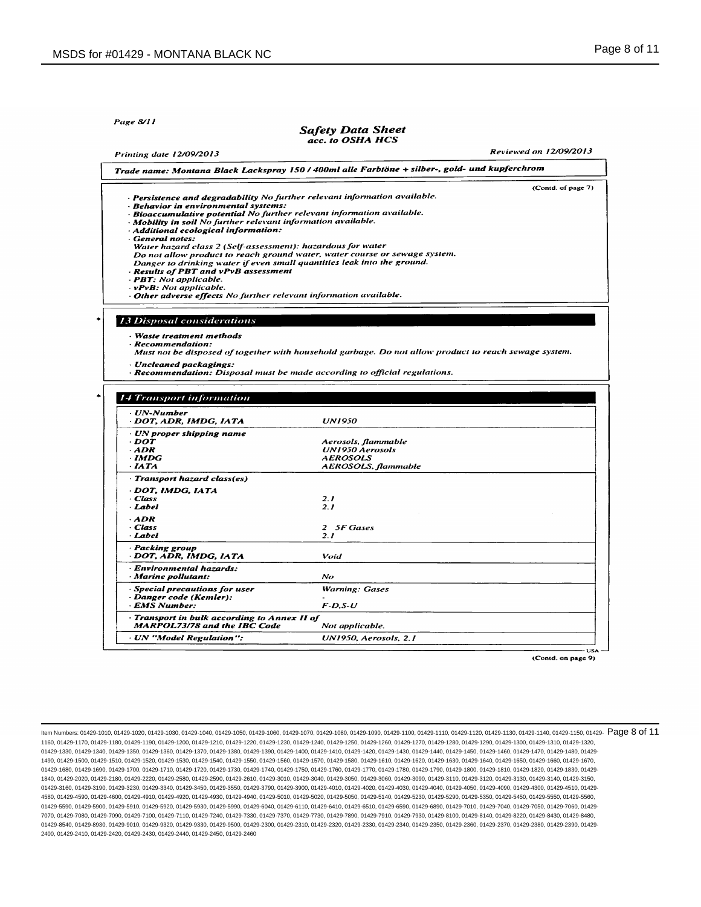Page 8/11

#### **Safety Data Sheet** acc. to OSHA HCS

**Reviewed on 12/09/2013** 

| Printing date 12/09/2013                                                                                                                                                                                                                                                                                                                                                                                                                                                                                                                                                                                                               |                                                                                                       | <b>Reviewed on 12/09/2013</b> |
|----------------------------------------------------------------------------------------------------------------------------------------------------------------------------------------------------------------------------------------------------------------------------------------------------------------------------------------------------------------------------------------------------------------------------------------------------------------------------------------------------------------------------------------------------------------------------------------------------------------------------------------|-------------------------------------------------------------------------------------------------------|-------------------------------|
|                                                                                                                                                                                                                                                                                                                                                                                                                                                                                                                                                                                                                                        | Trade name: Montana Black Lackspray 150 / 400ml alle Farbtöne + silber-, gold- und kupferchrom        |                               |
| · Persistence and degradability No further relevant information available.<br>· Behavior in environmental systems:<br>· Bioaccumulative potential No further relevant information available.<br>· Mobility in soil No further relevant information available.<br>· Additional ecological information:<br>· General notes:<br>Water hazard class 2 (Self-assessment): hazardous for water<br>Danger to drinking water if even small quantities leak into the ground.<br>· Results of PBT and vPvB assessment<br>- PBT: Not applicable.<br>- vPvB: Not applicable.<br>· Other adverse effects No further relevant information available. | Do not allow product to reach ground water, water course or sewage system.                            | (Contd. of page 7)            |
|                                                                                                                                                                                                                                                                                                                                                                                                                                                                                                                                                                                                                                        |                                                                                                       |                               |
| <b>13 Disposal considerations</b>                                                                                                                                                                                                                                                                                                                                                                                                                                                                                                                                                                                                      |                                                                                                       |                               |
| · Waste treatment methods<br>· Recommendation:<br>· Uncleaned packagings:                                                                                                                                                                                                                                                                                                                                                                                                                                                                                                                                                              | Must not be disposed of together with household garbage. Do not allow product to reach sewage system. |                               |
|                                                                                                                                                                                                                                                                                                                                                                                                                                                                                                                                                                                                                                        | · Recommendation: Disposal must be made according to official regulations.                            |                               |
|                                                                                                                                                                                                                                                                                                                                                                                                                                                                                                                                                                                                                                        |                                                                                                       |                               |
|                                                                                                                                                                                                                                                                                                                                                                                                                                                                                                                                                                                                                                        |                                                                                                       |                               |
| <b>14 Transport information</b>                                                                                                                                                                                                                                                                                                                                                                                                                                                                                                                                                                                                        |                                                                                                       |                               |
| · UN-Number<br>· DOT, ADR, IMDG, IATA                                                                                                                                                                                                                                                                                                                                                                                                                                                                                                                                                                                                  | <b>UN1950</b>                                                                                         |                               |
| · UN proper shipping name                                                                                                                                                                                                                                                                                                                                                                                                                                                                                                                                                                                                              |                                                                                                       |                               |
| · DOT                                                                                                                                                                                                                                                                                                                                                                                                                                                                                                                                                                                                                                  | Aerosols, flammable                                                                                   |                               |
| $-$ ADR                                                                                                                                                                                                                                                                                                                                                                                                                                                                                                                                                                                                                                | <b>UN1950 Aerosols</b>                                                                                |                               |
| · IMDG<br>$\cdot$ IATA                                                                                                                                                                                                                                                                                                                                                                                                                                                                                                                                                                                                                 | <b>AEROSOLS</b>                                                                                       |                               |
| Transport hazard class(es)                                                                                                                                                                                                                                                                                                                                                                                                                                                                                                                                                                                                             | AEROSOLS, flammable                                                                                   |                               |
| · DOT, IMDG, IATA                                                                                                                                                                                                                                                                                                                                                                                                                                                                                                                                                                                                                      |                                                                                                       |                               |
| · Class                                                                                                                                                                                                                                                                                                                                                                                                                                                                                                                                                                                                                                | 2.1                                                                                                   |                               |
| · Label                                                                                                                                                                                                                                                                                                                                                                                                                                                                                                                                                                                                                                | 2.1                                                                                                   |                               |
| $-ADR$                                                                                                                                                                                                                                                                                                                                                                                                                                                                                                                                                                                                                                 |                                                                                                       |                               |
| · Class                                                                                                                                                                                                                                                                                                                                                                                                                                                                                                                                                                                                                                | 2 5F Gases                                                                                            |                               |
| · Label                                                                                                                                                                                                                                                                                                                                                                                                                                                                                                                                                                                                                                | 2.1                                                                                                   |                               |
| · Packing group<br>· DOT, ADR, IMDG, IATA                                                                                                                                                                                                                                                                                                                                                                                                                                                                                                                                                                                              | Void                                                                                                  |                               |
| · Environmental hazards:<br>· Marine pollutant:                                                                                                                                                                                                                                                                                                                                                                                                                                                                                                                                                                                        | $N_{O}$                                                                                               |                               |
| · Special precautions for user                                                                                                                                                                                                                                                                                                                                                                                                                                                                                                                                                                                                         | <b>Warning: Gases</b>                                                                                 |                               |
| · Danger code (Kemler):<br>· EMS Number:                                                                                                                                                                                                                                                                                                                                                                                                                                                                                                                                                                                               | $F$ -D,S-U                                                                                            |                               |
| Transport in bulk according to Annex II of<br><b>MARPOL73/78 and the IBC Code</b>                                                                                                                                                                                                                                                                                                                                                                                                                                                                                                                                                      | Not applicable.                                                                                       |                               |

(Contd. on page 9)

ltem Numbers: 01429-1010, 01429-1020, 01429-1030, 01429-1040, 01429-1050, 01429-1060, 01429-1080, 01429-1100, 01429-1110, 01429-1110, 01429-1110, 01429-1140, 01429-1140, 01429-1150, 01429-1116, 01429-1116, 01429-1130, 0142 1160, 01429-1170, 01429-1180, 01429-1190, 01429-1200, 01429-1210, 01429-1220, 01429-1230, 01429-1240, 01429-1250, 01429-1260, 01429-1270, 01429-1280, 01429-1290, 01429-1300, 01429-1310, 01429-1320, 01429-1330, 01429-1340, 01429-1350, 01429-1360, 01429-1370, 01429-1380, 01429-1380, 01429-1400, 01429-1410, 01429-1420, 01429-1430, 01429-1440, 01429-1460, 01429-1460, 01429-1470, 01429-1480, 01429-1480, 01429-1480, 01429-1 1490, 01429-1500, 01429-1510, 01429-1520, 01429-1530, 01429-1540, 01429-1550, 01429-1560, 01429-1570, 01429-1580, 01429-1610, 01429-1620, 01429-1630, 01429-1640, 01429-1650, 01429-1660, 01429-1670, 01429-1680, 01429-1690, 01429-1700, 01429-1710, 01429-1720, 01429-1730, 01429-1740, 01429-1750, 01429-1760, 01429-1770, 01429-1780, 01429-1790, 01429-1800, 01429-1810, 01429-1820, 01429-1830, 01429- 1840, 01429-2020, 01429-2180, 01429-2220, 01429-2580, 01429-2590, 01429-2610, 01429-3010, 01429-3040, 01429-3050, 01429-3060, 01429-3090, 01429-3110, 01429-3120, 01429-3130, 01429-3140, 01429-3150, 01429-3160, 01429-3190, 01429-3230, 01429-3340, 01429-3450, 01429-3550, 01429-3790, 01429-4000, 01429-4010, 01429-4030, 01429-4040, 01429-4050, 01429-4050, 01429-4090, 01429-4030, 01429-4030, 01429-4050, 01429-4510, 01429-4 4580, 01429-4590, 01429-4600, 01429-4910, 01429-4920, 01429-4930, 01429-4940, 01429-5010, 01429-5020, 01429-5050, 01429-5140, 01429-5230, 01429-5290, 01429-5350, 01429-5450, 01429-5550, 01429-5560, 01429-5590, 01429-5900, 01429-5910, 01429-5920, 01429-5930, 01429-5990, 01429-6040, 01429-6110, 01429-6410, 01429-6510, 01429-6590, 01429-6890, 01429-7010, 01429-7040, 01429-7050, 01429-7060, 01429- 7070, 01429-7080, 01429-7090, 01429-7100, 01429-7110, 01429-7240, 01429-7330, 01429-7370, 01429-7730, 01429-7890, 01429-7910, 01429-7930, 01429-8100, 01429-8140, 01429-8220, 01429-8430, 01429-8480, 01429-8540, 01429-8930, 01429-9010, 01429-9320, 01429-9330, 01429-9500, 01429-2300, 01429-2320, 01429-2330, 01429-2340, 01429-2350, 01429-2360, 01429-2370, 01429-2360, 01429-2360, 01429-2360, 01429-2360, 01429-2360, 01429-2 2400, 01429-2410, 01429-2420, 01429-2430, 01429-2440, 01429-2450, 01429-2460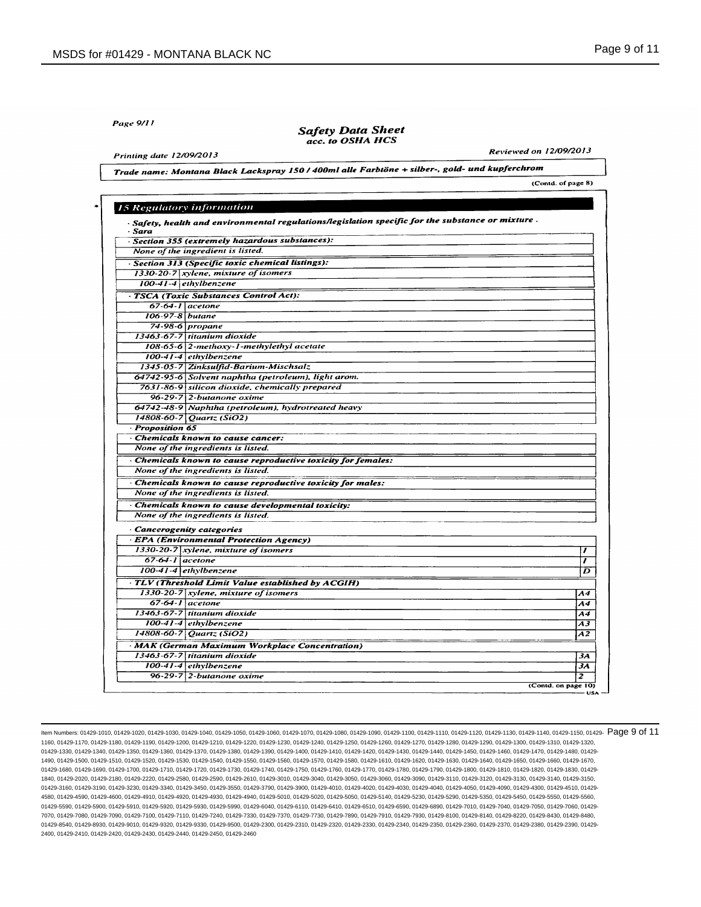Page 9/11

# **Safety Data Sheet** acc. to OSHA HCS

**Printing date 12/09/2013** 

Reviewed on 12/09/2013

(Contd. of page 8)

Trade name: Montana Black Lackspray 150 / 400ml alle Farbtöne + silber-, gold- und kupferchrom

| - Sara                | $\cdot$ Safety, health and environmental regulations/legislation specific for the substance or mixture. |  |
|-----------------------|---------------------------------------------------------------------------------------------------------|--|
|                       | Section 355 (extremely hazardous substances):                                                           |  |
|                       | None of the ingredient is listed.                                                                       |  |
|                       | · Section 313 (Specific toxic chemical listings):                                                       |  |
|                       | $1330-20-7$ xylene, mixture of isomers                                                                  |  |
|                       | 100-41-4 ethylbenzene                                                                                   |  |
|                       | - TSCA (Toxic Substances Control Act):                                                                  |  |
|                       | $67-64-1$ acetone                                                                                       |  |
| 106-97-8 butane       |                                                                                                         |  |
|                       | 74-98-6 propane                                                                                         |  |
|                       | 13463-67-7 titanium dioxide                                                                             |  |
|                       | 108-65-6 2-methoxy-1-methylethyl acetate                                                                |  |
|                       | 100-41-4 ethylbenzene                                                                                   |  |
|                       | 1345-05-7 Zinksulfid-Barium-Mischsalz                                                                   |  |
|                       | 64742-95-6 Solvent naphtha (petroleum), light arom.                                                     |  |
|                       | 7631-86-9 silicon dioxide, chemically prepared                                                          |  |
|                       | $96-29-7$ 2-butanone oxime                                                                              |  |
|                       | 64742-48-9 Naphtha (petroleum), hydrotreated heavy                                                      |  |
|                       | 14808-60-7 Quartz (SiO2)                                                                                |  |
| <b>Proposition 65</b> |                                                                                                         |  |
|                       | Chemicals known to cause cancer:                                                                        |  |
|                       | None of the ingredients is listed.                                                                      |  |
|                       | · Chemicals known to cause reproductive toxicity for females:                                           |  |
|                       | None of the ingredients is listed.                                                                      |  |
|                       | · Chemicals known to cause reproductive toxicity for males:                                             |  |
|                       | None of the ingredients is listed.                                                                      |  |
|                       | Chemicals known to cause developmental toxicity:                                                        |  |
|                       | None of the ingredients is listed.                                                                      |  |
|                       | Cancerogenity categories                                                                                |  |
|                       | - EPA (Environmental Protection Agency)                                                                 |  |
|                       | $1330-20-7$ xylene, mixture of isomers                                                                  |  |
| $67-64-1$ acetone     |                                                                                                         |  |
|                       | $100-41-4$ ethylbenzene                                                                                 |  |
|                       | TLV (Threshold Limit Value established by ACGIH)                                                        |  |
|                       | 1330-20-7 xylene, mixture of isomers                                                                    |  |
|                       | $67-64-1$ acetone                                                                                       |  |
|                       | 13463-67-7 titanium dioxide                                                                             |  |
|                       | $100-41-4$ ethylbenzene                                                                                 |  |
|                       | $14808 - 60 - 7$ Quartz (SiO2)                                                                          |  |
|                       | · MAK (German Maximum Workplace Concentration)                                                          |  |
|                       | 13463-67-7 titanium dioxide                                                                             |  |
|                       | $100 - 41 - 4$ ethylbenzene                                                                             |  |
|                       | $96-29-7$ 2-butanone oxime                                                                              |  |

ltem Numbers: 01429-1010, 01429-1020, 01429-1030, 01429-1040, 01429-1050, 01429-1060, 01429-1080, 01429-1100, 01429-1110, 01429-1110, 01429-1110, 01429-1140, 01429-1140, 01429-1150, 01429-1116, 01429-1116, 01429-1130, 0142 1160, 01429-1170, 01429-1180, 01429-1190, 01429-1200, 01429-1210, 01429-1220, 01429-1230, 01429-1240, 01429-1250, 01429-1260, 01429-1270, 01429-1280, 01429-1290, 01429-1300, 01429-1310, 01429-1320, 01429-1330, 01429-1340, 01429-1350, 01429-1360, 01429-1370, 01429-1380, 01429-1380, 01429-1400, 01429-1410, 01429-1420, 01429-1430, 01429-1440, 01429-1460, 01429-1460, 01429-1470, 01429-1480, 01429-1480, 01429-1480, 01429-1 1490, 01429-1500, 01429-1510, 01429-1520, 01429-1530, 01429-1540, 01429-1550, 01429-1560, 01429-1570, 01429-1580, 01429-1610, 01429-1620, 01429-1630, 01429-1640, 01429-1650, 01429-1660, 01429-1670, 01429-1680, 01429-1690, 01429-1700, 01429-1710, 01429-1720, 01429-1730, 01429-1740, 01429-1750, 01429-1760, 01429-1770, 01429-1780, 01429-1790, 01429-1800, 01429-1810, 01429-1820, 01429-1830, 01429- 1840, 01429-2020, 01429-2180, 01429-2220, 01429-2580, 01429-2590, 01429-2610, 01429-3010, 01429-3040, 01429-3050, 01429-3060, 01429-3090, 01429-3110, 01429-3120, 01429-3130, 01429-3140, 01429-3150, 01429-3160, 01429-3190, 01429-3230, 01429-3340, 01429-3450, 01429-3550, 01429-3790, 01429-4000, 01429-4010, 01429-4030, 01429-4040, 01429-4050, 01429-4050, 01429-4090, 01429-4030, 01429-4030, 01429-4050, 01429-4510, 01429-4 4580, 01429-4590, 01429-4600, 01429-4910, 01429-4920, 01429-4930, 01429-4940, 01429-5010, 01429-5020, 01429-5050, 01429-5140, 01429-5230, 01429-5290, 01429-5350, 01429-5450, 01429-5550, 01429-5560, 01429-5590, 01429-5900, 01429-5910, 01429-5920, 01429-5930, 01429-5990, 01429-6040, 01429-6110, 01429-6410, 01429-6510, 01429-6590, 01429-6890, 01429-7010, 01429-7040, 01429-7050, 01429-7060, 01429- 7070, 01429-7080, 01429-7090, 01429-7100, 01429-7110, 01429-7240, 01429-7330, 01429-7370, 01429-7730, 01429-7890, 01429-7910, 01429-7930, 01429-8100, 01429-8140, 01429-8220, 01429-8430, 01429-8480, 01429-8540, 01429-8930, 01429-9010, 01429-9320, 01429-9330, 01429-9500, 01429-2300, 01429-2320, 01429-2330, 01429-2340, 01429-2350, 01429-2360, 01429-2370, 01429-2360, 01429-2360, 01429-2360, 01429-2360, 01429-2360, 01429-2 2400, 01429-2410, 01429-2420, 01429-2430, 01429-2440, 01429-2450, 01429-2460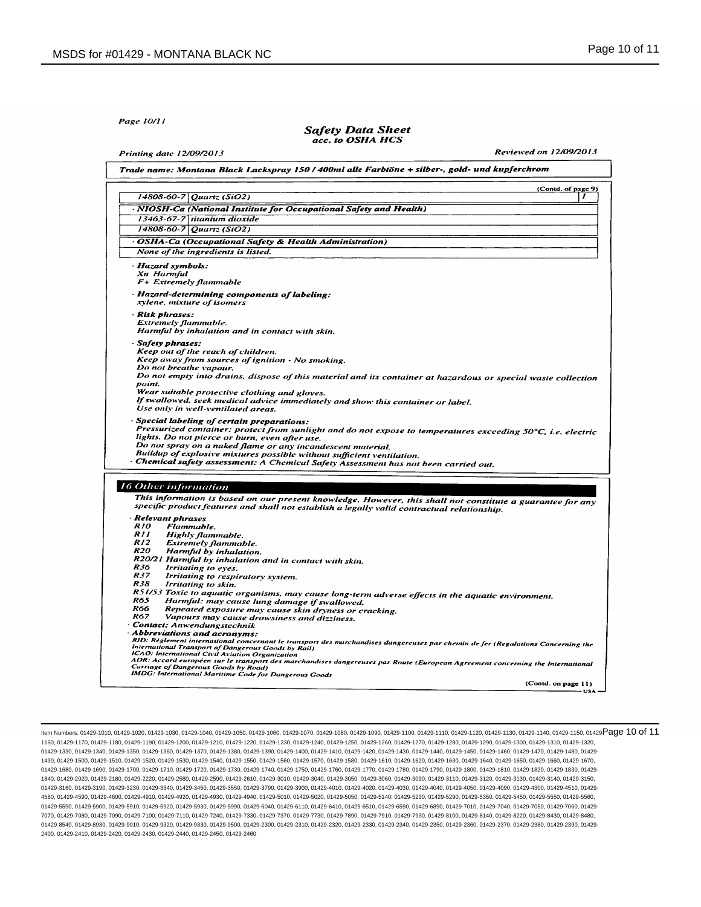Page 10/11

#### **Safety Data Sheet** acc. to OSHA HCS

Printing date 12/09/2013

Reviewed on 12/09/2013

|                                              | (Contd. of page 9)<br>$14808 - 60 - 7$ Quartz (SiO2)<br>,                                                                                                             |
|----------------------------------------------|-----------------------------------------------------------------------------------------------------------------------------------------------------------------------|
|                                              |                                                                                                                                                                       |
|                                              | · NIOSH-Ca (National Institute for Occupational Safety and Health)                                                                                                    |
|                                              | 13463-67-7 titanium dioxide                                                                                                                                           |
| 14808-60-7                                   | Quartz (SiO2)                                                                                                                                                         |
|                                              | · OSHA-Ca (Occupational Safety & Health Administration)                                                                                                               |
|                                              | None of the ingredients is listed.                                                                                                                                    |
| · Hazard symbols:                            |                                                                                                                                                                       |
| Xn Harmful                                   |                                                                                                                                                                       |
|                                              | F+ Extremely flammable                                                                                                                                                |
|                                              | Hazard-determining components of labeling:                                                                                                                            |
|                                              | xylene, mixture of isomers                                                                                                                                            |
| Risk phrases:                                |                                                                                                                                                                       |
| Extremely flammable.                         |                                                                                                                                                                       |
|                                              | Harmful by inhalation and in contact with skin.                                                                                                                       |
| · Safety phrases:                            |                                                                                                                                                                       |
|                                              | Keep out of the reach of children.                                                                                                                                    |
|                                              | Keep away from sources of ignition - No smoking.                                                                                                                      |
| Do not breathe vapour.                       |                                                                                                                                                                       |
| point.                                       | Do not empty into drains, dispose of this material and its container at hazardous or special waste collection                                                         |
|                                              | Wear suitable protective clothing and gloves.                                                                                                                         |
|                                              | If swallowed, seek medical advice immediately and show this container or label.                                                                                       |
|                                              | Use only in well-ventilated areas.                                                                                                                                    |
|                                              | Special labeling of certain preparations:                                                                                                                             |
|                                              |                                                                                                                                                                       |
|                                              |                                                                                                                                                                       |
|                                              | lights. Do not pierce or burn, even after use.                                                                                                                        |
|                                              | Do not spray on a naked flame or any incandescent material.                                                                                                           |
|                                              | Buildup of explosive mixtures possible without sufficient ventilation.                                                                                                |
|                                              | · Chemical safety assessment: A Chemical Safety Assessment has not been carried out.                                                                                  |
|                                              | Pressurized container: protect from sunlight and do not expose to temperatures exceeding 50°C, i.e. electric                                                          |
|                                              |                                                                                                                                                                       |
|                                              | This information is based on our present knowledge. However, this shall not constitute a guarantee for any                                                            |
|                                              | specific product features and shall not establish a legally valid contractual relationship.                                                                           |
| <b>Relevant phrases</b><br><i><b>R10</b></i> |                                                                                                                                                                       |
| RII                                          | Flammable.<br>Highly flammable.                                                                                                                                       |
| <i>R12</i>                                   | <b>Extremely flammable.</b>                                                                                                                                           |
| R20                                          | Harmful by inhalation.                                                                                                                                                |
|                                              | R20/21 Harmful by inhalation and in contact with skin.                                                                                                                |
| R36                                          | Irritating to eyes.                                                                                                                                                   |
| R37                                          | Irritating to respiratory system.                                                                                                                                     |
| R38                                          | Irritating to skin.                                                                                                                                                   |
| R65                                          | R51/53 Toxic to aquatic organisms, may cause long-term adverse effects in the aquatic environment.                                                                    |
| R66                                          | Harmful: may cause lung damage if swallowed.                                                                                                                          |
| <b>R67</b>                                   | Repeated exposure may cause skin dryness or cracking.<br>Vapours may cause drowsiness and dizziness.                                                                  |
|                                              | · Contact: Anwendungstechnik                                                                                                                                          |
| <b>16 Other information</b>                  | Abbreviations and acronyms:                                                                                                                                           |
|                                              | RID: Règlement international concernant le transport des marchandises dangereuses par chemin de fer (Regulations Concerning the                                       |
|                                              | International Transport of Dangerous Goods by Rail)<br>ICAO: International Civil Aviation Organization                                                                |
|                                              | ADR: Accord européen sur le transport des marchandises dangereuses par Route (European Agreement concerning the International<br>Carriage of Dangerous Goods by Road) |

ltem Numbers: 01429-1010, 01429-1020, 01429-1030, 01429-1040, 01429-1060, 01429-1070, 01429-1080, 01429-1100, 01429-1110, 01429-1110, 01429-11140, 01429-1140, 01429-1150, 01429-1150, 01429-11160, 01429-1130, 01429-1130, 01 1160, 01429-1170, 01429-1180, 01429-1190, 01429-1200, 01429-1210, 01429-1220, 01429-1230, 01429-1240, 01429-1250, 01429-1260, 01429-1270, 01429-1280, 01429-1290, 01429-1300, 01429-1310, 01429-1320, 01429-1330, 01429-1340, 01429-1350, 01429-1360, 01429-1370, 01429-1380, 01429-1380, 01429-1400, 01429-1410, 01429-1420, 01429-1430, 01429-1440, 01429-1460, 01429-1460, 01429-1470, 01429-1480, 01429-1480, 01429-1480, 01429-1 1490, 01429-1500, 01429-1510, 01429-1520, 01429-1530, 01429-1540, 01429-1550, 01429-1560, 01429-1570, 01429-1580, 01429-1610, 01429-1620, 01429-1630, 01429-1640, 01429-1650, 01429-1660, 01429-1670, 01429-1680, 01429-1690, 01429-1700, 01429-1710, 01429-1720, 01429-1730, 01429-1740, 01429-1750, 01429-1760, 01429-1770, 01429-1780, 01429-1790, 01429-1800, 01429-1810, 01429-1820, 01429-1830, 01429- 1840, 01429-2020, 01429-2180, 01429-2220, 01429-2580, 01429-2590, 01429-2610, 01429-3010, 01429-3040, 01429-3050, 01429-3060, 01429-3090, 01429-3110, 01429-3120, 01429-3130, 01429-3140, 01429-3150, 01429-3160, 01429-3190, 01429-3230, 01429-3340, 01429-3450, 01429-3550, 01429-3790, 01429-4000, 01429-4010, 01429-4030, 01429-4040, 01429-4050, 01429-4050, 01429-4090, 01429-4030, 01429-4030, 01429-4050, 01429-4510, 01429-4 4580, 01429-4590, 01429-4600, 01429-4910, 01429-4920, 01429-4930, 01429-4940, 01429-5010, 01429-5020, 01429-5050, 01429-5140, 01429-5230, 01429-5290, 01429-5350, 01429-5450, 01429-5550, 01429-5560, 01429-5590, 01429-5900, 01429-5910, 01429-5920, 01429-5930, 01429-5990, 01429-6040, 01429-6110, 01429-6410, 01429-6510, 01429-6590, 01429-6890, 01429-7010, 01429-7040, 01429-7050, 01429-7060, 01429- 7070, 01429-7080, 01429-7090, 01429-7100, 01429-7110, 01429-7240, 01429-7330, 01429-7370, 01429-7730, 01429-7890, 01429-7910, 01429-7930, 01429-8100, 01429-8140, 01429-8220, 01429-8430, 01429-8480, 01429-8540, 01429-8930, 01429-9010, 01429-9320, 01429-9330, 01429-9500, 01429-2300, 01429-2320, 01429-2330, 01429-2340, 01429-2350, 01429-2360, 01429-2370, 01429-2360, 01429-2360, 01429-2360, 01429-2360, 01429-2360, 01429-2 2400, 01429-2410, 01429-2420, 01429-2430, 01429-2440, 01429-2450, 01429-2460